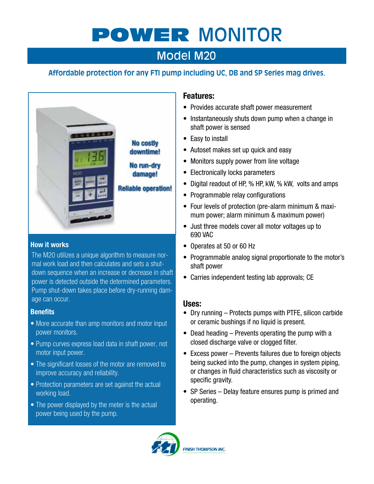# POWER MONITOR

# Model M20

# **Affordable protection for any FTI pump including UC, DB and SP Series mag drives.**



#### **How it works**

The M20 utilizes a unique algorithm to measure normal work load and then calculates and sets a shutdown sequence when an increase or decrease in shaft power is detected outside the determined parameters. Pump shut-down takes place before dry-running damage can occur.

#### **Benefits**

- More accurate than amp monitors and motor input power monitors.
- Pump curves express load data in shaft power, not motor input power.
- The significant losses of the motor are removed to improve accuracy and reliability.
- Protection parameters are set against the actual working load.
- The power displayed by the meter is the actual power being used by the pump.

#### **Features:**

- Provides accurate shaft power measurement
- Instantaneously shuts down pump when a change in shaft power is sensed
- Easy to install
- Autoset makes set up quick and easy
- Monitors supply power from line voltage
- Electronically locks parameters
- Digital readout of HP, % HP, kW, % kW, volts and amps
- Programmable relay configurations
- Four levels of protection (pre-alarm minimum & maxi- mum power; alarm minimum & maximum power)
- Just three models cover all motor voltages up to 690 VAC
- Operates at 50 or 60 Hz
- Programmable analog signal proportionate to the motor's shaft power
- Carries independent testing lab approvals; CE

#### **Uses:**

- Dry running Protects pumps with PTFE, silicon carbide or ceramic bushings if no liquid is present.
- $\bullet$  Dead heading Prevents operating the pump with a closed discharge valve or clogged filter.
- Excess power Prevents failures due to foreign objects being sucked into the pump, changes in system piping, or changes in fluid characteristics such as viscosity or specific gravity.
- SP Series Delay feature ensures pump is primed and operating.